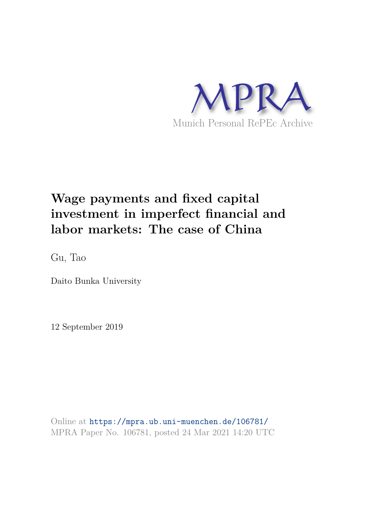

## **Wage payments and fixed capital investment in imperfect financial and labor markets: The case of China**

Gu, Tao

Daito Bunka University

12 September 2019

Online at https://mpra.ub.uni-muenchen.de/106781/ MPRA Paper No. 106781, posted 24 Mar 2021 14:20 UTC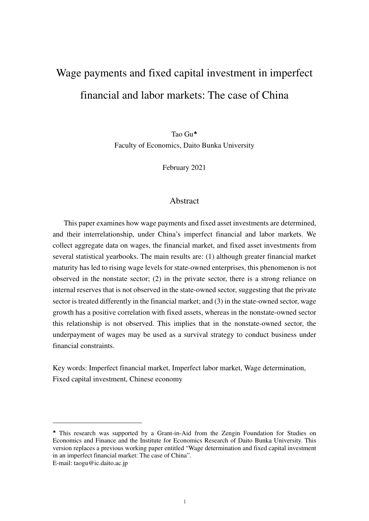# Wage payments and fixed capital investment in imperfect financial and labor markets: The case of China

Tao Gu[♣](#page-1-0) Faculty of Economics, Daito Bunka University

February 2021

#### **Abstract**

This paper examines how wage payments and fixed asset investments are determined, and their interrelationship, under China's imperfect financial and labor markets. We collect aggregate data on wages, the financial market, and fixed asset investments from several statistical yearbooks. The main results are: (1) although greater financial market maturity has led to rising wage levels for state-owned enterprises, this phenomenon is not observed in the nonstate sector; (2) in the private sector, there is a strong reliance on internal reserves that is not observed in the state-owned sector, suggesting that the private sector is treated differently in the financial market; and (3) in the state-owned sector, wage growth has a positive correlation with fixed assets, whereas in the nonstate-owned sector this relationship is not observed. This implies that in the nonstate-owned sector, the underpayment of wages may be used as a survival strategy to conduct business under financial constraints.

Key words: Imperfect financial market, Imperfect labor market, Wage determination, Fixed capital investment, Chinese economy

<span id="page-1-0"></span><sup>♣</sup> This research was supported by a Grant-in-Aid from the Zengin Foundation for Studies on Economics and Finance and the Institute for Economics Research of Daito Bunka University. This version replaces a previous working paper entitled "Wage determination and fixed capital investment in an imperfect financial market: The case of China".

E-mail: taogu@ic.daito.ac.jp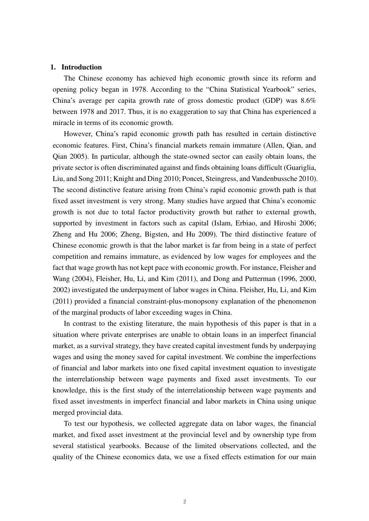#### **1. Introduction**

The Chinese economy has achieved high economic growth since its reform and opening policy began in 1978. According to the "China Statistical Yearbook" series, China's average per capita growth rate of gross domestic product (GDP) was 8.6% between 1978 and 2017. Thus, it is no exaggeration to say that China has experienced a miracle in terms of its economic growth.

However, China's rapid economic growth path has resulted in certain distinctive economic features. First, China's financial markets remain immature (Allen, Qian, and Qian 2005). In particular, although the state-owned sector can easily obtain loans, the private sector is often discriminated against and finds obtaining loans difficult (Guariglia, Liu, and Song 2011; Knight and Ding 2010; Poncet, Steingress, and Vandenbussche 2010). The second distinctive feature arising from China's rapid economic growth path is that fixed asset investment is very strong. Many studies have argued that China's economic growth is not due to total factor productivity growth but rather to external growth, supported by investment in factors such as capital (Islam, Erbiao, and Hiroshi 2006; Zheng and Hu 2006; Zheng, Bigsten, and Hu 2009). The third distinctive feature of Chinese economic growth is that the labor market is far from being in a state of perfect competition and remains immature, as evidenced by low wages for employees and the fact that wage growth has not kept pace with economic growth. For instance, Fleisher and Wang (2004), Fleisher, Hu, Li, and Kim (2011), and Dong and Putterman (1996, 2000, 2002) investigated the underpayment of labor wages in China. Fleisher, Hu, Li, and Kim (2011) provided a financial constraint-plus-monopsony explanation of the phenomenon of the marginal products of labor exceeding wages in China.

In contrast to the existing literature, the main hypothesis of this paper is that in a situation where private enterprises are unable to obtain loans in an imperfect financial market, as a survival strategy, they have created capital investment funds by underpaying wages and using the money saved for capital investment. We combine the imperfections of financial and labor markets into one fixed capital investment equation to investigate the interrelationship between wage payments and fixed asset investments. To our knowledge, this is the first study of the interrelationship between wage payments and fixed asset investments in imperfect financial and labor markets in China using unique merged provincial data.

To test our hypothesis, we collected aggregate data on labor wages, the financial market, and fixed asset investment at the provincial level and by ownership type from several statistical yearbooks. Because of the limited observations collected, and the quality of the Chinese economics data, we use a fixed effects estimation for our main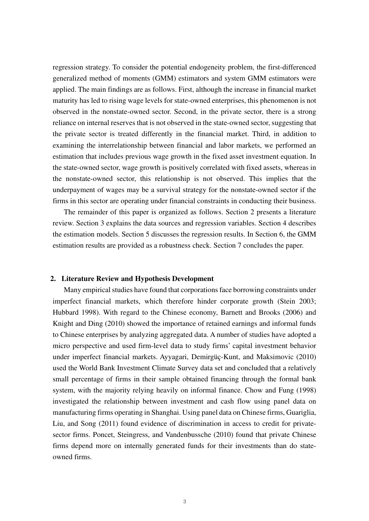regression strategy. To consider the potential endogeneity problem, the first-differenced generalized method of moments (GMM) estimators and system GMM estimators were applied. The main findings are as follows. First, although the increase in financial market maturity has led to rising wage levels for state-owned enterprises, this phenomenon is not observed in the nonstate-owned sector. Second, in the private sector, there is a strong reliance on internal reserves that is not observed in the state-owned sector, suggesting that the private sector is treated differently in the financial market. Third, in addition to examining the interrelationship between financial and labor markets, we performed an estimation that includes previous wage growth in the fixed asset investment equation. In the state-owned sector, wage growth is positively correlated with fixed assets, whereas in the nonstate-owned sector, this relationship is not observed. This implies that the underpayment of wages may be a survival strategy for the nonstate-owned sector if the firms in this sector are operating under financial constraints in conducting their business.

The remainder of this paper is organized as follows. Section 2 presents a literature review. Section 3 explains the data sources and regression variables. Section 4 describes the estimation models. Section 5 discusses the regression results. In Section 6, the GMM estimation results are provided as a robustness check. Section 7 concludes the paper.

#### **2. Literature Review and Hypothesis Development**

Many empirical studies have found that corporations face borrowing constraints under imperfect financial markets, which therefore hinder corporate growth (Stein 2003; Hubbard 1998). With regard to the Chinese economy, Barnett and Brooks (2006) and Knight and Ding (2010) showed the importance of retained earnings and informal funds to Chinese enterprises by analyzing aggregated data. A number of studies have adopted a micro perspective and used firm-level data to study firms' capital investment behavior under imperfect financial markets. Ayyagari, Demirgüç-Kunt, and Maksimovic (2010) used the World Bank Investment Climate Survey data set and concluded that a relatively small percentage of firms in their sample obtained financing through the formal bank system, with the majority relying heavily on informal finance. Chow and Fung (1998) investigated the relationship between investment and cash flow using panel data on manufacturing firms operating in Shanghai. Using panel data on Chinese firms, Guariglia, Liu, and Song (2011) found evidence of discrimination in access to credit for privatesector firms. Poncet, Steingress, and Vandenbussche (2010) found that private Chinese firms depend more on internally generated funds for their investments than do stateowned firms.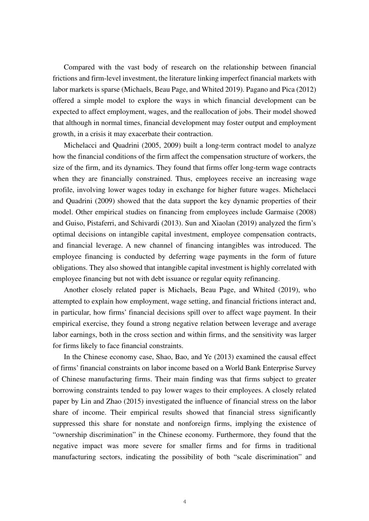Compared with the vast body of research on the relationship between financial frictions and firm-level investment, the literature linking imperfect financial markets with labor markets is sparse (Michaels, Beau Page, and Whited 2019). Pagano and Pica (2012) offered a simple model to explore the ways in which financial development can be expected to affect employment, wages, and the reallocation of jobs. Their model showed that although in normal times, financial development may foster output and employment growth, in a crisis it may exacerbate their contraction.

Michelacci and Quadrini (2005, 2009) built a long-term contract model to analyze how the financial conditions of the firm affect the compensation structure of workers, the size of the firm, and its dynamics. They found that firms offer long-term wage contracts when they are financially constrained. Thus, employees receive an increasing wage profile, involving lower wages today in exchange for higher future wages. Michelacci and Quadrini (2009) showed that the data support the key dynamic properties of their model. Other empirical studies on financing from employees include Garmaise (2008) and Guiso, Pistaferri, and Schivardi (2013). Sun and Xiaolan (2019) analyzed the firm's optimal decisions on intangible capital investment, employee compensation contracts, and financial leverage. A new channel of financing intangibles was introduced. The employee financing is conducted by deferring wage payments in the form of future obligations. They also showed that intangible capital investment is highly correlated with employee financing but not with debt issuance or regular equity refinancing.

Another closely related paper is Michaels, Beau Page, and Whited (2019), who attempted to explain how employment, wage setting, and financial frictions interact and, in particular, how firms' financial decisions spill over to affect wage payment. In their empirical exercise, they found a strong negative relation between leverage and average labor earnings, both in the cross section and within firms, and the sensitivity was larger for firms likely to face financial constraints.

In the Chinese economy case, Shao, Bao, and Ye (2013) examined the causal effect of firms' financial constraints on labor income based on a World Bank Enterprise Survey of Chinese manufacturing firms. Their main finding was that firms subject to greater borrowing constraints tended to pay lower wages to their employees. A closely related paper by Lin and Zhao (2015) investigated the influence of financial stress on the labor share of income. Their empirical results showed that financial stress significantly suppressed this share for nonstate and nonforeign firms, implying the existence of "ownership discrimination" in the Chinese economy. Furthermore, they found that the negative impact was more severe for smaller firms and for firms in traditional manufacturing sectors, indicating the possibility of both "scale discrimination" and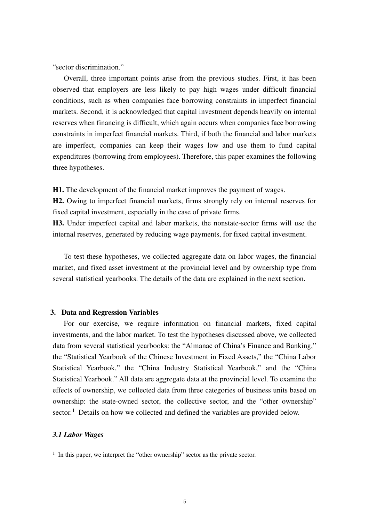"sector discrimination."

Overall, three important points arise from the previous studies. First, it has been observed that employers are less likely to pay high wages under difficult financial conditions, such as when companies face borrowing constraints in imperfect financial markets. Second, it is acknowledged that capital investment depends heavily on internal reserves when financing is difficult, which again occurs when companies face borrowing constraints in imperfect financial markets. Third, if both the financial and labor markets are imperfect, companies can keep their wages low and use them to fund capital expenditures (borrowing from employees). Therefore, this paper examines the following three hypotheses.

**H1.** The development of the financial market improves the payment of wages.

**H2.** Owing to imperfect financial markets, firms strongly rely on internal reserves for fixed capital investment, especially in the case of private firms.

**H3.** Under imperfect capital and labor markets, the nonstate-sector firms will use the internal reserves, generated by reducing wage payments, for fixed capital investment.

To test these hypotheses, we collected aggregate data on labor wages, the financial market, and fixed asset investment at the provincial level and by ownership type from several statistical yearbooks. The details of the data are explained in the next section.

#### **3. Data and Regression Variables**

For our exercise, we require information on financial markets, fixed capital investments, and the labor market. To test the hypotheses discussed above, we collected data from several statistical yearbooks: the "Almanac of China's Finance and Banking," the "Statistical Yearbook of the Chinese Investment in Fixed Assets," the "China Labor Statistical Yearbook," the "China Industry Statistical Yearbook," and the "China Statistical Yearbook." All data are aggregate data at the provincial level. To examine the effects of ownership, we collected data from three categories of business units based on ownership: the state-owned sector, the collective sector, and the "other ownership"  $\text{sector.}^1$  $\text{sector.}^1$  Details on how we collected and defined the variables are provided below.

#### *3.1 Labor Wages*

<span id="page-5-0"></span><sup>&</sup>lt;sup>1</sup> In this paper, we interpret the "other ownership" sector as the private sector.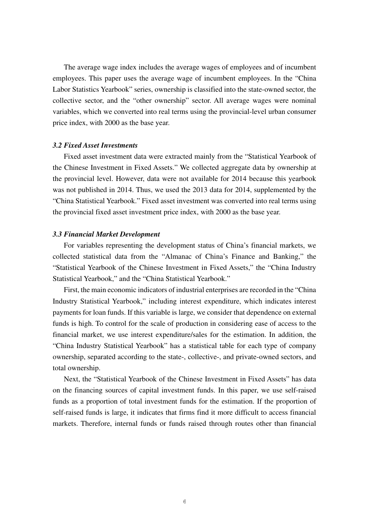The average wage index includes the average wages of employees and of incumbent employees. This paper uses the average wage of incumbent employees. In the "China Labor Statistics Yearbook" series, ownership is classified into the state-owned sector, the collective sector, and the "other ownership" sector. All average wages were nominal variables, which we converted into real terms using the provincial-level urban consumer price index, with 2000 as the base year.

#### *3.2 Fixed Asset Investments*

Fixed asset investment data were extracted mainly from the "Statistical Yearbook of the Chinese Investment in Fixed Assets." We collected aggregate data by ownership at the provincial level. However, data were not available for 2014 because this yearbook was not published in 2014. Thus, we used the 2013 data for 2014, supplemented by the "China Statistical Yearbook." Fixed asset investment was converted into real terms using the provincial fixed asset investment price index, with 2000 as the base year.

#### *3.3 Financial Market Development*

For variables representing the development status of China's financial markets, we collected statistical data from the "Almanac of China's Finance and Banking," the "Statistical Yearbook of the Chinese Investment in Fixed Assets," the "China Industry Statistical Yearbook," and the "China Statistical Yearbook."

First, the main economic indicators of industrial enterprises are recorded in the "China Industry Statistical Yearbook," including interest expenditure, which indicates interest payments for loan funds. If this variable is large, we consider that dependence on external funds is high. To control for the scale of production in considering ease of access to the financial market, we use interest expenditure/sales for the estimation. In addition, the "China Industry Statistical Yearbook" has a statistical table for each type of company ownership, separated according to the state-, collective-, and private-owned sectors, and total ownership.

Next, the "Statistical Yearbook of the Chinese Investment in Fixed Assets" has data on the financing sources of capital investment funds. In this paper, we use self-raised funds as a proportion of total investment funds for the estimation. If the proportion of self-raised funds is large, it indicates that firms find it more difficult to access financial markets. Therefore, internal funds or funds raised through routes other than financial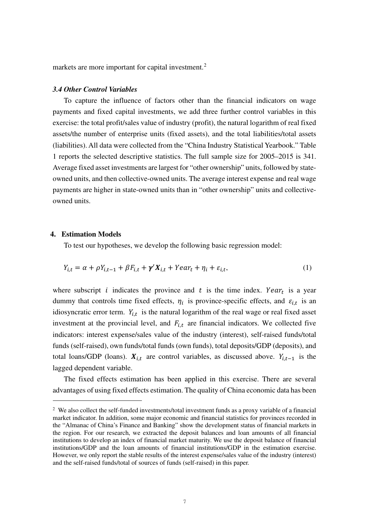markets are more important for capital investment.<sup>[2](#page-7-0)</sup>

#### *3.4 Other Control Variables*

To capture the influence of factors other than the financial indicators on wage payments and fixed capital investments, we add three further control variables in this exercise: the total profit/sales value of industry (profit), the natural logarithm of real fixed assets/the number of enterprise units (fixed assets), and the total liabilities/total assets (liabilities). All data were collected from the "China Industry Statistical Yearbook." Table 1 reports the selected descriptive statistics. The full sample size for 2005–2015 is 341. Average fixed asset investments are largest for "other ownership" units, followed by stateowned units, and then collective-owned units. The average interest expense and real wage payments are higher in state-owned units than in "other ownership" units and collectiveowned units.

#### **4. Estimation Models**

To test our hypotheses, we develop the following basic regression model:

$$
Y_{i,t} = \alpha + \rho Y_{i,t-1} + \beta F_{i,t} + \gamma' X_{i,t} + Year_t + \eta_i + \varepsilon_{i,t},
$$
\n<sup>(1)</sup>

where subscript *i* indicates the province and *t* is the time index. Year<sub>t</sub> is a year dummy that controls time fixed effects,  $\eta_i$  is province-specific effects, and  $\varepsilon_{i,t}$  is an idiosyncratic error term.  $Y_{i,t}$  is the natural logarithm of the real wage or real fixed asset investment at the provincial level, and  $F_{i,t}$  are financial indicators. We collected five indicators: interest expense/sales value of the industry (interest), self-raised funds/total funds (self-raised), own funds/total funds (own funds), total deposits/GDP (deposits), and total loans/GDP (loans).  $X_{i,t}$  are control variables, as discussed above.  $Y_{i,t-1}$  is the lagged dependent variable.

The fixed effects estimation has been applied in this exercise. There are several advantages of using fixed effects estimation. The quality of China economic data has been

<span id="page-7-0"></span><sup>2</sup> We also collect the self-funded investments/total investment funds as a proxy variable of a financial market indicator. In addition, some major economic and financial statistics for provinces recorded in the "Almanac of China's Finance and Banking" show the development status of financial markets in the region. For our research, we extracted the deposit balances and loan amounts of all financial institutions to develop an index of financial market maturity. We use the deposit balance of financial institutions/GDP and the loan amounts of financial institutions/GDP in the estimation exercise. However, we only report the stable results of the interest expense/sales value of the industry (interest) and the self-raised funds/total of sources of funds (self-raised) in this paper.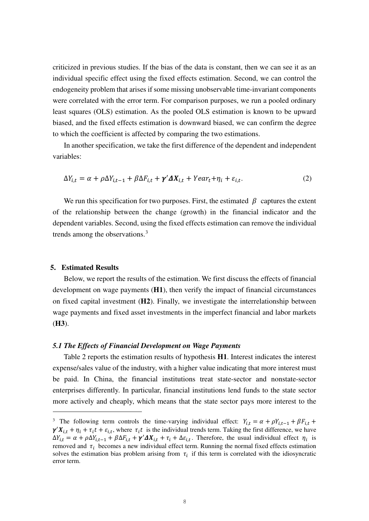criticized in previous studies. If the bias of the data is constant, then we can see it as an individual specific effect using the fixed effects estimation. Second, we can control the endogeneity problem that arises if some missing unobservable time-invariant components were correlated with the error term. For comparison purposes, we run a pooled ordinary least squares (OLS) estimation. As the pooled OLS estimation is known to be upward biased, and the fixed effects estimation is downward biased, we can confirm the degree to which the coefficient is affected by comparing the two estimations.

In another specification, we take the first difference of the dependent and independent variables:

$$
\Delta Y_{i,t} = \alpha + \rho \Delta Y_{i,t-1} + \beta \Delta F_{i,t} + \gamma' \Delta X_{i,t} + Year_t + \eta_i + \varepsilon_{i,t}.
$$
 (2)

We run this specification for two purposes. First, the estimated  $\beta$  captures the extent of the relationship between the change (growth) in the financial indicator and the dependent variables. Second, using the fixed effects estimation can remove the individual trends among the observations.<sup>[3](#page-8-0)</sup>

#### **5. Estimated Results**

Below, we report the results of the estimation. We first discuss the effects of financial development on wage payments (**H1**), then verify the impact of financial circumstances on fixed capital investment (**H2**). Finally, we investigate the interrelationship between wage payments and fixed asset investments in the imperfect financial and labor markets (**H3**).

#### *5.1 The Effects of Financial Development on Wage Payments*

Table 2 reports the estimation results of hypothesis **H1**. Interest indicates the interest expense/sales value of the industry, with a higher value indicating that more interest must be paid. In China, the financial institutions treat state-sector and nonstate-sector enterprises differently. In particular, financial institutions lend funds to the state sector more actively and cheaply, which means that the state sector pays more interest to the

<span id="page-8-0"></span><sup>&</sup>lt;sup>3</sup> The following term controls the time-varying individual effect:  $Y_{i,t} = \alpha + \rho Y_{i,t-1} + \beta F_{i,t} + \rho Y_{i,t-1} + \beta F_{i,t}$  $\gamma'X_{i,t} + \eta_i + \tau_i t + \varepsilon_{i,t}$ , where  $\tau_i t$  is the individual trends term. Taking the first difference, we have  $\Delta Y_{i,t} = \alpha + \rho \Delta Y_{i,t-1} + \beta \Delta F_{i,t} + \gamma' \Delta X_{i,t} + \tau_i + \Delta \varepsilon_{i,t}$ . Therefore, the usual individual effect  $\eta_i$  is removed and  $\tau_i$  becomes a new individual effect term. Running the normal fixed effects estimation solves the estimation bias problem arising from  $\tau_i$  if this term is correlated with the idiosyncratic error term.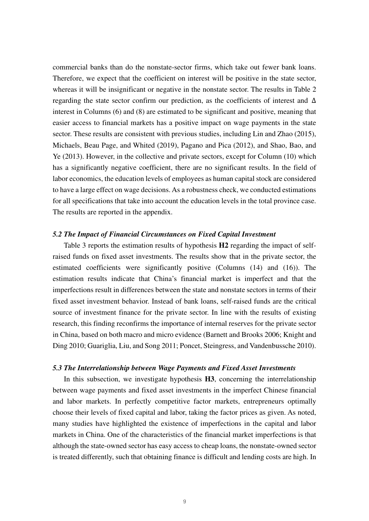commercial banks than do the nonstate-sector firms, which take out fewer bank loans. Therefore, we expect that the coefficient on interest will be positive in the state sector, whereas it will be insignificant or negative in the nonstate sector. The results in Table 2 regarding the state sector confirm our prediction, as the coefficients of interest and  $\Delta$ interest in Columns (6) and (8) are estimated to be significant and positive, meaning that easier access to financial markets has a positive impact on wage payments in the state sector. These results are consistent with previous studies, including Lin and Zhao (2015), Michaels, Beau Page, and Whited (2019), Pagano and Pica (2012), and Shao, Bao, and Ye (2013). However, in the collective and private sectors, except for Column (10) which has a significantly negative coefficient, there are no significant results. In the field of labor economics, the education levels of employees as human capital stock are considered to have a large effect on wage decisions. As a robustness check, we conducted estimations for all specifications that take into account the education levels in the total province case. The results are reported in the appendix.

#### *5.2 The Impact of Financial Circumstances on Fixed Capital Investment*

Table 3 reports the estimation results of hypothesis **H2** regarding the impact of selfraised funds on fixed asset investments. The results show that in the private sector, the estimated coefficients were significantly positive (Columns (14) and (16)). The estimation results indicate that China's financial market is imperfect and that the imperfections result in differences between the state and nonstate sectors in terms of their fixed asset investment behavior. Instead of bank loans, self-raised funds are the critical source of investment finance for the private sector. In line with the results of existing research, this finding reconfirms the importance of internal reserves for the private sector in China, based on both macro and micro evidence (Barnett and Brooks 2006; Knight and Ding 2010; Guariglia, Liu, and Song 2011; Poncet, Steingress, and Vandenbussche 2010).

#### *5.3 The Interrelationship between Wage Payments and Fixed Asset Investments*

In this subsection, we investigate hypothesis **H3**, concerning the interrelationship between wage payments and fixed asset investments in the imperfect Chinese financial and labor markets. In perfectly competitive factor markets, entrepreneurs optimally choose their levels of fixed capital and labor, taking the factor prices as given. As noted, many studies have highlighted the existence of imperfections in the capital and labor markets in China. One of the characteristics of the financial market imperfections is that although the state-owned sector has easy access to cheap loans, the nonstate-owned sector is treated differently, such that obtaining finance is difficult and lending costs are high. In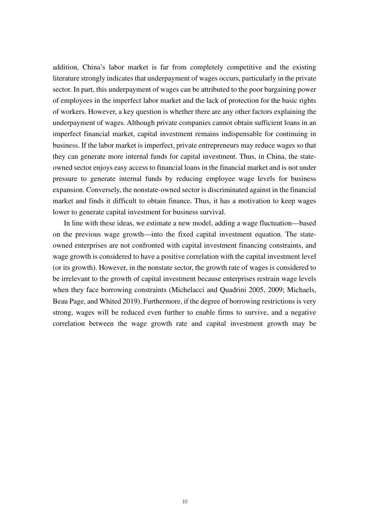addition, China's labor market is far from completely competitive and the existing literature strongly indicates that underpayment of wages occurs, particularly in the private sector. In part, this underpayment of wages can be attributed to the poor bargaining power of employees in the imperfect labor market and the lack of protection for the basic rights of workers. However, a key question is whether there are any other factors explaining the underpayment of wages. Although private companies cannot obtain sufficient loans in an imperfect financial market, capital investment remains indispensable for continuing in business. If the labor market is imperfect, private entrepreneurs may reduce wages so that they can generate more internal funds for capital investment. Thus, in China, the stateowned sector enjoys easy access to financial loans in the financial market and is not under pressure to generate internal funds by reducing employee wage levels for business expansion. Conversely, the nonstate-owned sector is discriminated against in the financial market and finds it difficult to obtain finance. Thus, it has a motivation to keep wages lower to generate capital investment for business survival.

In line with these ideas, we estimate a new model, adding a wage fluctuation—based on the previous wage growth—into the fixed capital investment equation. The stateowned enterprises are not confronted with capital investment financing constraints, and wage growth is considered to have a positive correlation with the capital investment level (or its growth). However, in the nonstate sector, the growth rate of wages is considered to be irrelevant to the growth of capital investment because enterprises restrain wage levels when they face borrowing constraints (Michelacci and Quadrini 2005, 2009; Michaels, Beau Page, and Whited 2019). Furthermore, if the degree of borrowing restrictions is very strong, wages will be reduced even further to enable firms to survive, and a negative correlation between the wage growth rate and capital investment growth may be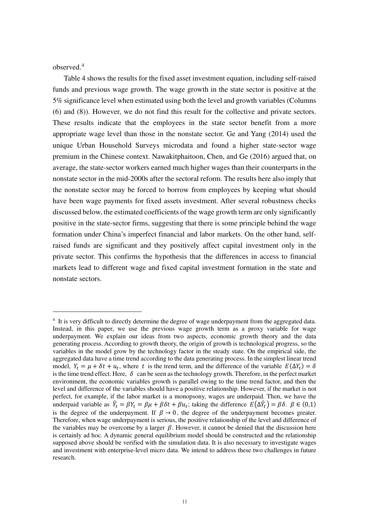observed.[4](#page-11-0)

Table 4 shows the results for the fixed asset investment equation, including self-raised funds and previous wage growth. The wage growth in the state sector is positive at the 5% significance level when estimated using both the level and growth variables (Columns (6) and (8)). However, we do not find this result for the collective and private sectors. These results indicate that the employees in the state sector benefit from a more appropriate wage level than those in the nonstate sector. Ge and Yang (2014) used the unique Urban Household Surveys microdata and found a higher state-sector wage premium in the Chinese context. Nawakitphaitoon, Chen, and Ge (2016) argued that, on average, the state-sector workers earned much higher wages than their counterparts in the nonstate sector in the mid-2000s after the sectoral reform. The results here also imply that the nonstate sector may be forced to borrow from employees by keeping what should have been wage payments for fixed assets investment. After several robustness checks discussed below, the estimated coefficients of the wage growth term are only significantly positive in the state-sector firms, suggesting that there is some principle behind the wage formation under China's imperfect financial and labor markets. On the other hand, selfraised funds are significant and they positively affect capital investment only in the private sector. This confirms the hypothesis that the differences in access to financial markets lead to different wage and fixed capital investment formation in the state and nonstate sectors.

<span id="page-11-0"></span><sup>&</sup>lt;sup>4</sup> It is very difficult to directly determine the degree of wage underpayment from the aggregated data. Instead, in this paper, we use the previous wage growth term as a proxy variable for wage underpayment. We explain our ideas from two aspects, economic growth theory and the data generating process. According to growth theory, the origin of growth is technological progress, so the variables in the model grow by the technology factor in the steady state. On the empirical side, the aggregated data have a time trend according to the data generating process. In the simplest linear trend model,  $Y_t = \mu + \delta t + u_t$ , where t is the trend term, and the difference of the variable  $E(\Delta Y_t) = \delta$ is the time trend effect. Here,  $\delta$  can be seen as the technology growth. Therefore, in the perfect market environment, the economic variables growth is parallel owing to the time trend factor, and then the level and difference of the variables should have a positive relationship. However, if the market is not perfect, for example, if the labor market is a monopsony, wages are underpaid. Then, we have the underpaid variable as  $\hat{Y}_t = \beta Y_t = \beta \mu + \beta \delta t + \beta u_t$ ; taking the difference  $E(\Delta \hat{Y}_t) = \beta \delta$ .  $\beta \in (0,1)$ is the degree of the underpayment. If  $\beta \rightarrow 0$ , the degree of the underpayment becomes greater. Therefore, when wage underpayment is serious, the positive relationship of the level and difference of the variables may be overcome by a larger  $\beta$ . However, it cannot be denied that the discussion here is certainly ad hoc. A dynamic general equilibrium model should be constructed and the relationship supposed above should be verified with the simulation data. It is also necessary to investigate wages and investment with enterprise-level micro data. We intend to address these two challenges in future research.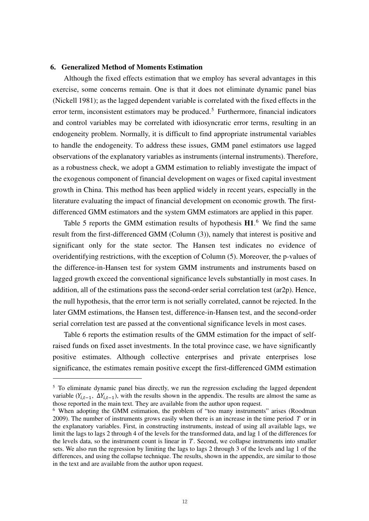#### **6. Generalized Method of Moments Estimation**

Although the fixed effects estimation that we employ has several advantages in this exercise, some concerns remain. One is that it does not eliminate dynamic panel bias (Nickell 1981); as the lagged dependent variable is correlated with the fixed effects in the error term, inconsistent estimators may be produced.<sup>[5](#page-12-0)</sup> Furthermore, financial indicators and control variables may be correlated with idiosyncratic error terms, resulting in an endogeneity problem. Normally, it is difficult to find appropriate instrumental variables to handle the endogeneity. To address these issues, GMM panel estimators use lagged observations of the explanatory variables as instruments (internal instruments). Therefore, as a robustness check, we adopt a GMM estimation to reliably investigate the impact of the exogenous component of financial development on wages or fixed capital investment growth in China. This method has been applied widely in recent years, especially in the literature evaluating the impact of financial development on economic growth. The firstdifferenced GMM estimators and the system GMM estimators are applied in this paper.

Table 5 reports the GMM estimation results of hypothesis **H1**. [6](#page-12-1) We find the same result from the first-differenced GMM (Column (3)), namely that interest is positive and significant only for the state sector. The Hansen test indicates no evidence of overidentifying restrictions, with the exception of Column (5). Moreover, the p-values of the difference-in-Hansen test for system GMM instruments and instruments based on lagged growth exceed the conventional significance levels substantially in most cases. In addition, all of the estimations pass the second-order serial correlation test (ar2p). Hence, the null hypothesis, that the error term is not serially correlated, cannot be rejected. In the later GMM estimations, the Hansen test, difference-in-Hansen test, and the second-order serial correlation test are passed at the conventional significance levels in most cases.

Table 6 reports the estimation results of the GMM estimation for the impact of selfraised funds on fixed asset investments. In the total province case, we have significantly positive estimates. Although collective enterprises and private enterprises lose significance, the estimates remain positive except the first-differenced GMM estimation

<span id="page-12-0"></span><sup>&</sup>lt;sup>5</sup> To eliminate dynamic panel bias directly, we run the regression excluding the lagged dependent variable  $(Y_{i,t-1}, \Delta Y_{i,t-1})$ , with the results shown in the appendix. The results are almost the same as those reported in the main text. They are available from the author upon request.

<span id="page-12-1"></span><sup>&</sup>lt;sup>6</sup> When adopting the GMM estimation, the problem of "too many instruments" arises (Roodman 2009). The number of instruments grows easily when there is an increase in the time period  $T$  or in the explanatory variables. First, in constructing instruments, instead of using all available lags, we limit the lags to lags 2 through 4 of the levels for the transformed data, and lag 1 of the differences for the levels data, so the instrument count is linear in  $T$ . Second, we collapse instruments into smaller sets. We also run the regression by limiting the lags to lags 2 through 3 of the levels and lag 1 of the differences, and using the collapse technique. The results, shown in the appendix, are similar to those in the text and are available from the author upon request.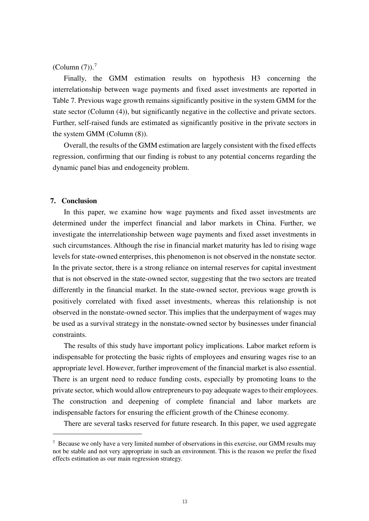#### $(Column (7)).<sup>7</sup>$  $(Column (7)).<sup>7</sup>$  $(Column (7)).<sup>7</sup>$

Finally, the GMM estimation results on hypothesis H3 concerning the interrelationship between wage payments and fixed asset investments are reported in Table 7. Previous wage growth remains significantly positive in the system GMM for the state sector (Column (4)), but significantly negative in the collective and private sectors. Further, self-raised funds are estimated as significantly positive in the private sectors in the system GMM (Column (8)).

Overall, the results of the GMM estimation are largely consistent with the fixed effects regression, confirming that our finding is robust to any potential concerns regarding the dynamic panel bias and endogeneity problem.

#### **7. Conclusion**

In this paper, we examine how wage payments and fixed asset investments are determined under the imperfect financial and labor markets in China. Further, we investigate the interrelationship between wage payments and fixed asset investments in such circumstances. Although the rise in financial market maturity has led to rising wage levels for state-owned enterprises, this phenomenon is not observed in the nonstate sector. In the private sector, there is a strong reliance on internal reserves for capital investment that is not observed in the state-owned sector, suggesting that the two sectors are treated differently in the financial market. In the state-owned sector, previous wage growth is positively correlated with fixed asset investments, whereas this relationship is not observed in the nonstate-owned sector. This implies that the underpayment of wages may be used as a survival strategy in the nonstate-owned sector by businesses under financial constraints.

The results of this study have important policy implications. Labor market reform is indispensable for protecting the basic rights of employees and ensuring wages rise to an appropriate level. However, further improvement of the financial market is also essential. There is an urgent need to reduce funding costs, especially by promoting loans to the private sector, which would allow entrepreneurs to pay adequate wages to their employees. The construction and deepening of complete financial and labor markets are indispensable factors for ensuring the efficient growth of the Chinese economy.

There are several tasks reserved for future research. In this paper, we used aggregate

<span id="page-13-0"></span> $\sigma$  Because we only have a very limited number of observations in this exercise, our GMM results may not be stable and not very appropriate in such an environment. This is the reason we prefer the fixed effects estimation as our main regression strategy.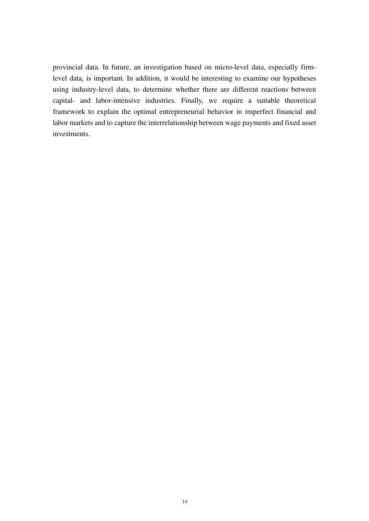provincial data. In future, an investigation based on micro-level data, especially firmlevel data, is important. In addition, it would be interesting to examine our hypotheses using industry-level data, to determine whether there are different reactions between capital- and labor-intensive industries. Finally, we require a suitable theoretical framework to explain the optimal entrepreneurial behavior in imperfect financial and labor markets and to capture the interrelationship between wage payments and fixed asset investments.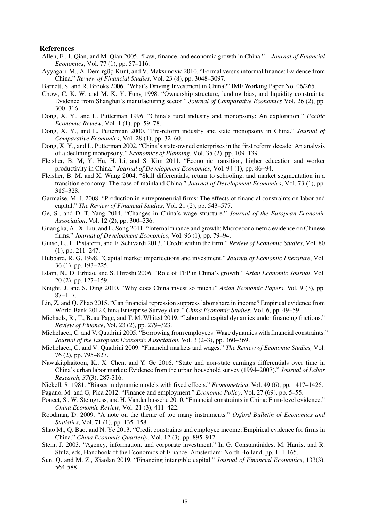#### **References**

- Allen, F., J. Qian, and M. Qian 2005. "Law, finance, and economic growth in China." *Journal of Financial Economics*, Vol. 77 (1), pp. 57–116.
- Ayyagari, M., A. Demirgüç-Kunt, and V. Maksimovic 2010. "Formal versus informal finance: Evidence from China." *Review of Financial Studies*, Vol. 23 (8), pp. 3048–3097.

Barnett, S. and R. Brooks 2006. "What's Driving Investment in China?" IMF Working Paper No. 06/265.

- Chow, C. K. W. and M. K. Y. Fung 1998. "Ownership structure, lending bias, and liquidity constraints: Evidence from Shanghai's manufacturing sector." *Journal of Comparative Economics* Vol. 26 (2), pp. 300–316.
- Dong, X. Y., and L. Putterman 1996. "China's rural industry and monopsony: An exploration." *Pacific Economic Review*, Vol. 1 (1), pp. 59–78.
- Dong, X. Y., and L. Putterman 2000. "Pre-reform industry and state monopsony in China." *Journal of Comparative Economics*, Vol. 28 (1), pp. 32–60.
- Dong, X. Y., and L. Putterman 2002. "China's state-owned enterprises in the first reform decade: An analysis of a declining monopsony." *Economics of Planning*, Vol. 35 (2), pp. 109–139.
- Fleisher, B. M, Y. Hu, H. Li, and S. Kim 2011. "Economic transition, higher education and worker productivity in China." *Journal of Development Economics*, Vol. 94 (1), pp. 86−94.
- Fleisher, B. M. and X. Wang 2004. "Skill differentials, return to schooling, and market segmentation in a transition economy: The case of mainland China." *Journal of Development Economics*, Vol. 73 (1), pp. 315–328.
- Garmaise, M. J. 2008. "Production in entrepreneurial firms: The effects of financial constraints on labor and capital." *The Review of Financial Studies*, Vol. 21 (2), pp. 543–577.
- Ge, S., and D. T. Yang 2014. "Changes in China's wage structure." *Journal of the European Economic Association*, Vol. 12 (2), pp. 300–336.
- Guariglia, A., X. Liu, and L. Song 2011. "Internal finance and growth: Microeconometric evidence on Chinese firms." *Journal of Development Economics*, Vol. 96 (1), pp. 79–94.
- Guiso, L., L. Pistaferri, and F. Schivardi 2013. "Credit within the firm." *Review of Economic Studies*, Vol. 80 (1), pp. 211–247.
- Hubbard, R. G. 1998. "Capital market imperfections and investment." *Journal of Economic Literature*, Vol. 36 (1), pp. 193−225.
- Islam, N., D. Erbiao, and S. Hiroshi 2006. "Role of TFP in China's growth." *Asian Economic Journal*, Vol. 20 (2), pp. 127−159.
- Knight, J. and S. Ding 2010. "Why does China invest so much?" *Asian Economic Papers*, Vol. 9 (3), pp. 87−117.
- Lin, Z. and Q. Zhao 2015. "Can financial repression suppress labor share in income? Empirical evidence from World Bank 2012 China Enterprise Survey data." *China Economic Studies*, Vol. 6, pp. 49−59.
- Michaels, R., T., Beau Page, and T. M. Whited 2019. "Labor and capital dynamics under financing frictions." *Review of Finance*, Vol. 23 (2), pp. 279–323.
- Michelacci, C. and V. Quadrini 2005. "Borrowing from employees: Wage dynamics with financial constraints." *Journal of the European Economic Association*, Vol. 3 (2–3), pp. 360–369.
- Michelacci, C. and V. Quadrini 2009. "Financial markets and wages." *The Review of Economic Studies,* Vol. 76 (2), pp. 795–827.
- Nawakitphaitoon, K., X. Chen, and Y. Ge 2016. "State and non-state earnings differentials over time in China's urban labor market: Evidence from the urban household survey (1994–2007)." *Journal of Labor Research*, *37*(3), 287-316.
- Nickell, S. 1981. "Biases in dynamic models with fixed effects." *Econometrica*, Vol. 49 (6), pp. 1417–1426.
- Pagano, M. and G, Pica 2012. "Finance and employment." *Economic Policy*, Vol. 27 (69), pp. 5–55.
- Poncet, S., W. Steingress, and H. Vandenbussche 2010. "Financial constraints in China: Firm-level evidence." *China Economic Review*, Vol. 21 (3), 411–422.
- Roodman, D. 2009. "A note on the theme of too many instruments." *Oxford Bulletin of Economics and Statistics*, Vol. 71 (1), pp. 135–158.
- Shao M., Q. Bao, and N. Ye 2013. "Credit constraints and employee income: Empirical evidence for firms in China." *China Economic Quarterly*, Vol. 12 (3), pp. 895–912.
- Stein, J. 2003. "Agency, information, and corporate investment." In G. Constantinides, M. Harris, and R. Stulz, eds, Handbook of the Economics of Finance. Amsterdam: North Holland, pp. 111-165.
- Sun, Q. and M. Z., Xiaolan 2019. "Financing intangible capital." *Journal of Financial Economics*, 133(3), 564-588.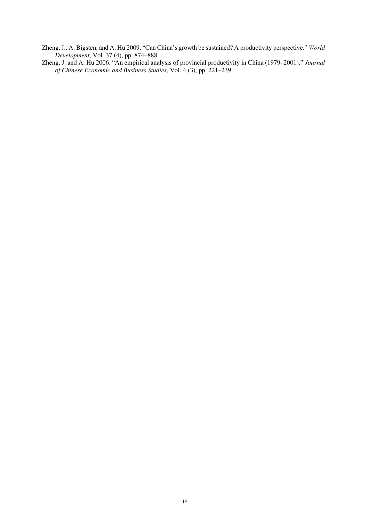- Zheng, J., A. Bigsten, and A. Hu 2009. "Can China's growth be sustained? A productivity perspective." *World Development*, Vol. 37 (4), pp. 874–888.
- Zheng, J. and A. Hu 2006. "An empirical analysis of provincial productivity in China (1979–2001)." *Journal of Chinese Economic and Business Studies*, Vol. 4 (3), pp. 221–239.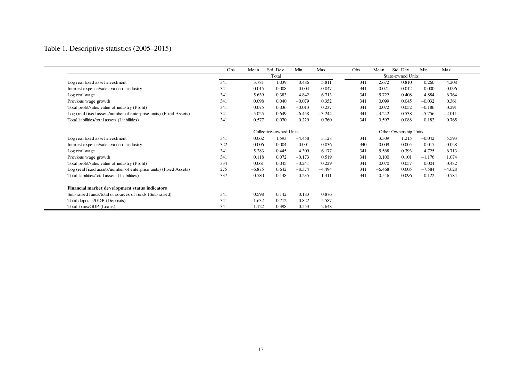### Table 1. Descriptive statistics (2005–2015)

|                                                                   | Obs | Mean     | Std. Dev. | Min                   | Max      | Obs | Mean     | Std. Dev.         | Min      | Max      |
|-------------------------------------------------------------------|-----|----------|-----------|-----------------------|----------|-----|----------|-------------------|----------|----------|
|                                                                   |     |          | Total     |                       |          |     |          | State-owned Units |          |          |
| Log real fixed asset investment                                   | 341 | 3.781    | 1.039     | 0.486                 | 5.811    | 341 | 2.672    | 0.810             | 0.260    | 4.208    |
| Interest expense/sales value of industry                          | 341 | 0.015    | 0.008     | 0.004                 | 0.047    | 341 | 0.021    | 0.012             | 0.000    | 0.096    |
| Log real wage                                                     | 341 | 5.639    | 0.383     | 4.842                 | 6.713    | 341 | 5.722    | 0.408             | 4.884    | 6.764    |
| Previous wage growth                                              | 341 | 0.098    | 0.040     | $-0.079$              | 0.352    | 341 | 0.099    | 0.045             | $-0.032$ | 0.361    |
| Total profit/sales value of industry (Profit)                     | 341 | 0.075    | 0.036     | $-0.013$              | 0.237    | 341 | 0.072    | 0.052             | $-0.186$ | 0.291    |
| Log (real fixed assets/number of enterprise units) (Fixed Assets) | 341 | $-5.025$ | 0.649     | $-6.458$              | $-3.244$ | 341 | $-3.242$ | 0.538             | $-5.756$ | $-2.011$ |
| Total liabilities/total assets (Liabilities)                      | 341 | 0.577    | 0.070     | 0.229                 | 0.760    | 341 | 0.597    | 0.088             | 0.182    | 0.765    |
|                                                                   |     |          |           | Other Ownership Units |          |     |          |                   |          |          |
| Log real fixed asset investment                                   | 341 | 0.062    | 1.593     | $-4.458$              | 3.128    | 341 | 3.309    | 1.215             | $-0.042$ | 5.593    |
| Interest expense/sales value of industry                          | 322 | 0.006    | 0.004     | 0.001                 | 0.036    | 340 | 0.009    | 0.005             | $-0.017$ | 0.028    |
| Log real wage                                                     | 341 | 5.283    | 0.445     | 4.309                 | 6.177    | 341 | 5.568    | 0.393             | 4.725    | 6.713    |
| Previous wage growth                                              | 341 | 0.118    | 0.072     | $-0.173$              | 0.519    | 341 | 0.100    | 0.101             | $-1.176$ | 1.074    |
| Total profit/sales value of industry (Profit)                     | 334 | 0.061    | 0.045     | $-0.241$              | 0.229    | 341 | 0.070    | 0.057             | 0.004    | 0.482    |
| Log (real fixed assets/number of enterprise units) (Fixed Assets) | 275 | $-6.875$ | 0.642     | $-8.374$              | $-4.494$ | 341 | $-6.468$ | 0.605             | $-7.584$ | $-4.628$ |
| Total liabilities/total assets (Liabilities)                      | 337 | 0.580    | 0.148     | 0.235                 | 1.411    | 341 | 0.546    | 0.096             | 0.122    | 0.784    |
| Financial market development status indicators                    |     |          |           |                       |          |     |          |                   |          |          |
| Self-raised funds/total of sources of funds (Self-raised)         | 341 | 0.598    | 0.142     | 0.183                 | 0.876    |     |          |                   |          |          |
| Total deposits/GDP (Deposits)                                     | 341 | 1.632    | 0.712     | 0.822                 | 5.587    |     |          |                   |          |          |
| Total loans/GDP (Loans)                                           | 341 | 1.122    | 0.398     | 0.553                 | 2.648    |     |          |                   |          |          |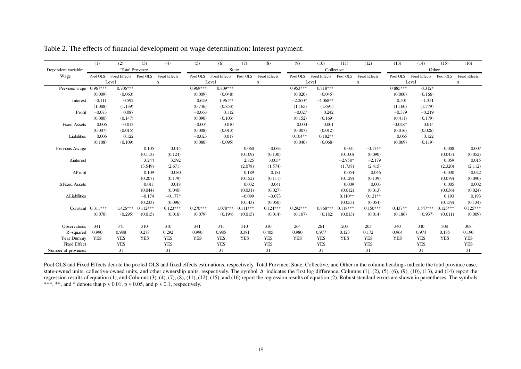|                      | (1)                 | (2)                  | (3)                   | (4)                  | (5)        | (6)                  | (7)        | (8)                  | (9)        | (10)                 | (11)       | (12)                 | (13)       | (14)                 | (15)       | (16)                 |
|----------------------|---------------------|----------------------|-----------------------|----------------------|------------|----------------------|------------|----------------------|------------|----------------------|------------|----------------------|------------|----------------------|------------|----------------------|
| Dependent variable:  |                     |                      | <b>Total Province</b> |                      |            | <b>State</b>         |            |                      |            | Collective           |            |                      |            | Other                |            |                      |
| Wage                 | Pool OLS            | <b>Fixed Effects</b> | Pool OLS              | <b>Fixed Effects</b> | Pool OLS   | <b>Fixed Effects</b> | Pool OLS   | <b>Fixed Effects</b> | Pool OLS   | <b>Fixed Effects</b> | Pool OLS   | <b>Fixed Effects</b> | Pool OLS   | <b>Fixed Effects</b> | Pool OLS   | <b>Fixed Effects</b> |
|                      |                     | Level                |                       | Δ                    |            | Level                |            | Δ                    |            | Level                |            | Δ                    |            | Level                |            | Δ                    |
| Previous wage        | $0.967***$          | $0.706***$           |                       |                      | $0.969***$ | $0.809***$           |            |                      | $0.953***$ | $0.818***$           |            |                      | $0.885***$ | $0.312*$             |            |                      |
|                      | (0.009)             | (0.060)              |                       |                      | (0.009)    | (0.048)              |            |                      | (0.020)    | (0.045)              |            |                      | (0.060)    | (0.166)              |            |                      |
| Interest             | $-0.111$            | 0.592                |                       |                      | 0.629      | $1.961**$            |            |                      | $-2.260*$  | $-4.068**$           |            |                      | 0.501      | $-1.351$             |            |                      |
|                      | (1.088)             | (1.139)              |                       |                      | (0.746)    | (0.853)              |            |                      | (1.165)    | (1.691)              |            |                      | (1.160)    | (1.779)              |            |                      |
| Profit               | $-0.073$            | 0.087                |                       |                      | $-0.063$   | 0.112                |            |                      | $-0.027$   | 0.242                |            |                      | $-0.379$   | $-0.219$             |            |                      |
|                      | (0.080)             | (0.147)              |                       |                      | (0.090)    | (0.103)              |            |                      | (0.152)    | (0.169)              |            |                      | (0.411)    | (0.179)              |            |                      |
| <b>Fixed Assets</b>  | 0.006               | $-0.013$             |                       |                      | $-0.004$   | 0.010                |            |                      | 0.000      | 0.001                |            |                      | $-0.028*$  | 0.014                |            |                      |
|                      | (0.007)             | (0.015)              |                       |                      | (0.008)    | (0.013)              |            |                      | (0.007)    | (0.012)              |            |                      | (0.016)    | (0.026)              |            |                      |
| Liabilities          | 0.006               | 0.122                |                       |                      | $-0.023$   | 0.017                |            |                      | $0.104**$  | $0.182**$            |            |                      | 0.065      | 0.122                |            |                      |
|                      | (0.108)             | (0.109)              |                       |                      | (0.080)    | (0.095)              |            |                      | (0.040)    | (0.068)              |            |                      | (0.069)    | (0.119)              |            |                      |
| Previous Awage       |                     |                      | 0.105                 | 0.015                |            |                      | 0.060      | $-0.063$             |            |                      | 0.031      | $-0.174*$            |            |                      | 0.008      | 0.007                |
|                      |                     |                      | (0.113)               | (0.124)              |            |                      | (0.109)    | (0.130)              |            |                      | (0.100)    | (0.090)              |            |                      | (0.043)    | (0.052)              |
| $\Delta$ interest    |                     |                      | 3.244                 | 3.592                |            |                      | 2.825      | $3.003*$             |            |                      | $-2.958*$  | $-2.179$             |            |                      | 0.059      | 0.015                |
|                      |                     |                      | (3.549)               | (2.671)              |            |                      | (2.078)    | (1.574)              |            |                      | (1.738)    | (2.415)              |            |                      | (2.320)    | (2.112)              |
| $\Delta$ Profit      |                     |                      | 0.109                 | 0.080                |            |                      | 0.189      | 0.181                |            |                      | 0.054      | 0.046                |            |                      | $-0.030$   | $-0.022$             |
|                      |                     |                      | (0.207)               | (0.179)              |            |                      | (0.152)    | (0.111)              |            |                      | (0.129)    | (0.139)              |            |                      | (0.079)    | (0.090)              |
| ∆Fixed Assets        |                     |                      | 0.011                 | 0.018                |            |                      | 0.032      | 0.041                |            |                      | 0.009      | 0.003                |            |                      | 0.005      | 0.002                |
|                      |                     |                      | (0.044)               | (0.040)              |            |                      | (0.031)    | (0.027)              |            |                      | (0.012)    | (0.013)              |            |                      | (0.036)    | (0.024)              |
| $\Delta$ Liabilities |                     |                      | $-0.174$              | $-0.177*$            |            |                      | $-0.099$   | $-0.073$             |            |                      | $0.110**$  | $0.121**$            |            |                      | 0.193      | 0.193                |
|                      |                     |                      | (0.233)               | (0.096)              |            |                      | (0.143)    | (0.050)              |            |                      | (0.053)    | (0.054)              |            |                      | (0.159)    | (0.134)              |
|                      | Constant $0.311***$ | $1.426***$           | $0.112***$            | $0.123***$           | $0.270***$ | $1.078***$           | $0.111***$ | $0.124***$           | $0.292***$ | $0.868***$           | $0.118***$ | $0.150***$           | $0.437**$  | $3.547***$           | $0.125***$ | $0.125***$           |
|                      | (0.070)             | (0.295)              | (0.015)               | (0.016)              | (0.079)    | (0.194)              | (0.015)    | (0.014)              | (0.107)    | (0.182)              | (0.013)    | (0.014)              | (0.186)    | (0.937)              | (0.011)    | (0.009)              |
| Observations         | 341                 | 341                  | 310                   | 310                  | 341        | 341                  | 310        | 310                  | 264        | 264                  | 203        | 203                  | 340        | 340                  | 308        | 308                  |
| R-squared            | 0.990               | 0.988                | 0.278                 | 0.292                | 0.990      | 0.985                | 0.381      | 0.405                | 0.980      | 0.977                | 0.123      | 0.172                | 0.964      | 0.974                | 0.185      | 0.190                |
| Year Dummy           | <b>YES</b>          | <b>YES</b>           | <b>YES</b>            | <b>YES</b>           | <b>YES</b> | <b>YES</b>           | <b>YES</b> | YES                  | <b>YES</b> | YES                  | <b>YES</b> | <b>YES</b>           | <b>YES</b> | <b>YES</b>           | <b>YES</b> | <b>YES</b>           |
| <b>Fixed Effect</b>  |                     | <b>YES</b>           |                       | <b>YES</b>           |            | <b>YES</b>           |            | <b>YES</b>           |            | <b>YES</b>           |            | <b>YES</b>           |            | <b>YES</b>           |            | <b>YES</b>           |
| Number of provinces  |                     | 31                   |                       | 31                   |            | 31                   |            | 31                   |            | 31                   |            | 31                   |            | 31                   |            | 31                   |

| Table 2. The effects of financial development on wage determination: Interest payment. |  |
|----------------------------------------------------------------------------------------|--|
|----------------------------------------------------------------------------------------|--|

Pool OLS and Fixed Effects denote the pooled OLS and fixed effects estimations, respectively. Total Province, State, Collective, and Other in the column headings indicate the total province case, state-owned units, collective-owned units, and other ownership units, respectively. The symbol ∆ indicates the first log difference. Columns (1), (2), (5), (6), (9), (10), (13), and (14) report the regression results of equation (1), and Columns (3), (4), (7), (8), (11), (12), (15), and (16) report the regression results of equation (2). Robust standard errors are shown in parentheses. The symbols \*\*\*, \*\*, and \* denote that  $p \le 0.01$ ,  $p \le 0.05$ , and  $p \le 0.1$ , respectively.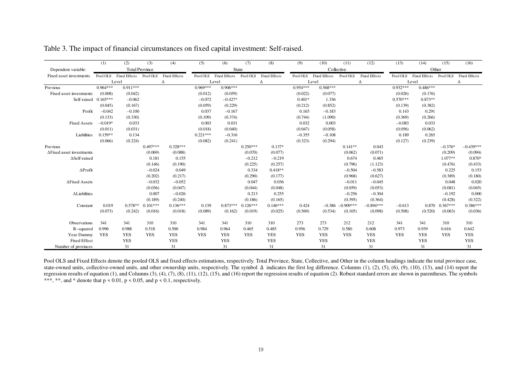|                                 | (1)        | (2)                    | (3)                   | (4)                  | (5)        | (6)                  | (7)        | (8)                  | (9)        | (10)                 | (11)                | (12)                 | (13)       | (14)                 | (15)       | (16)                 |
|---------------------------------|------------|------------------------|-----------------------|----------------------|------------|----------------------|------------|----------------------|------------|----------------------|---------------------|----------------------|------------|----------------------|------------|----------------------|
| Dependent variable:             |            |                        | <b>Total Province</b> |                      |            |                      | State      |                      |            |                      | Collective          |                      |            | Other                |            |                      |
| Fixed asset investments         | Pool OLS   | Fixed Effects Pool OLS |                       | <b>Fixed Effects</b> | Pool OLS   | <b>Fixed Effects</b> | Pool OLS   | <b>Fixed Effects</b> | Pool OLS   | <b>Fixed Effects</b> | Pool OLS            | <b>Fixed Effects</b> | Pool OLS   | <b>Fixed Effects</b> | Pool OLS   | <b>Fixed Effects</b> |
|                                 |            | Level                  |                       | Δ                    |            | Level                |            | Δ                    |            | Level                |                     | Δ                    |            | Level                |            | Δ                    |
| Previous                        | $0.964***$ | $0.911***$             |                       |                      | $0.969***$ | $0.906***$           |            |                      | $0.954***$ | $0.568***$           |                     |                      | $0.932***$ | $0.486***$           |            |                      |
| Fixed asset investments         | (0.008)    | (0.042)                |                       |                      | (0.012)    | (0.059)              |            |                      | (0.022)    | (0.077)              |                     |                      | (0.026)    | (0.176)              |            |                      |
| Self-raised                     | $0.165***$ | $-0.062$               |                       |                      | $-0.072$   | $-0.427*$            |            |                      | $0.401*$   | 1.336                |                     |                      | $0.570***$ | $0.873**$            |            |                      |
|                                 | (0.045)    | (0.167)                |                       |                      | (0.059)    | (0.229)              |            |                      | (0.212)    | (0.852)              |                     |                      | (0.139)    | (0.382)              |            |                      |
| Profit                          | $-0.042$   | $-0.100$               |                       |                      | 0.037      | $-0.167$             |            |                      | 0.165      | $-0.183$             |                     |                      | 0.143      | 0.291                |            |                      |
|                                 | (0.133)    | (0.330)                |                       |                      | (0.109)    | (0.374)              |            |                      | (0.744)    | (1.090)              |                     |                      | (0.369)    | (0.266)              |            |                      |
| <b>Fixed Assets</b>             | $-0.019*$  | 0.033                  |                       |                      | 0.003      | 0.031                |            |                      | 0.032      | 0.003                |                     |                      | $-0.083$   | 0.033                |            |                      |
|                                 | (0.011)    | (0.031)                |                       |                      | (0.018)    | (0.040)              |            |                      | (0.047)    | (0.058)              |                     |                      | (0.056)    | (0.062)              |            |                      |
| Liabilities                     | $0.159**$  | 0.134                  |                       |                      | $0.221***$ | $-0.316$             |            |                      | $-0.355$   | $-0.108$             |                     |                      | 0.189      | 0.265                |            |                      |
|                                 | (0.066)    | (0.224)                |                       |                      | (0.082)    | (0.241)              |            |                      | (0.323)    | (0.294)              |                     |                      | (0.127)    | (0.239)              |            |                      |
| Previous                        |            |                        | $0.497***$            | $0.328***$           |            |                      | $0.250***$ | $0.137*$             |            |                      | $0.141**$           | 0.043                |            |                      | $-0.376*$  | $-0.439***$          |
| <b>AFixed asset investments</b> |            |                        | (0.069)               | (0.088)              |            |                      | (0.070)    | (0.077)              |            |                      | (0.062)             | (0.071)              |            |                      | (0.209)    | (0.094)              |
| $\Delta$ Self-raised            |            |                        | 0.181                 | 0.155                |            |                      | $-0.212$   | $-0.219$             |            |                      | 0.674               | 0.465                |            |                      | $1.077**$  | $0.870*$             |
|                                 |            |                        | (0.146)               | (0.190)              |            |                      | (0.225)    | (0.257)              |            |                      | (0.796)             | (1.123)              |            |                      | (0.476)    | (0.433)              |
| $\Delta$ Profit                 |            |                        | $-0.024$              | 0.049                |            |                      | 0.334      | $0.418**$            |            |                      | $-0.504$            | $-0.583$             |            |                      | 0.225      | 0.153                |
|                                 |            |                        | (0.202)               | (0.217)              |            |                      | (0.290)    | (0.177)              |            |                      | (0.968)             | (0.627)              |            |                      | (0.389)    | (0.180)              |
| ∆Fixed Assets                   |            |                        | $-0.032$              | $-0.052$             |            |                      | 0.047      | 0.036                |            |                      | $-0.011$            | $-0.045$             |            |                      | 0.048      | 0.020                |
|                                 |            |                        | (0.036)               | (0.047)              |            |                      | (0.044)    | (0.048)              |            |                      | (0.059)             | (0.053)              |            |                      | (0.081)    | (0.045)              |
| $\Delta$ Liabilities            |            |                        | 0.007                 | $-0.026$             |            |                      | 0.213      | 0.255                |            |                      | $-0.256$            | $-0.304$             |            |                      | $-0.192$   | 0.000                |
|                                 |            |                        | (0.189)               | (0.240)              |            |                      | (0.186)    | (0.165)              |            |                      | (0.395)             | (0.364)              |            |                      | (0.428)    | (0.322)              |
| Constant                        | 0.019      | $0.578**$              | $0.101***$            | $0.136***$           | 0.139      | $0.873***$           | $0.126***$ | $0.146***$           | 0.424      |                      | $-0.386 - 0.909***$ | $-0.894***$          | $-0.613$   | 0.870                | $0.367***$ | $0.386***$           |
|                                 | (0.073)    | (0.242)                | (0.016)               | (0.018)              | (0.089)    | (0.162)              | (0.019)    | (0.025)              | (0.569)    | (0.534)              | (0.105)             | (0.098)              | (0.508)    | (0.520)              | (0.063)    | (0.036)              |
| Observations                    | 341        | 341                    | 310                   | 310                  | 341        | 341                  | 310        | 310                  | 273        | 273                  | 212                 | 212                  | 341        | 341                  | 310        | 310                  |
| R-squared                       | 0.996      | 0.988                  | 0.518                 | 0.500                | 0.984      | 0.964                | 0.465      | 0.485                | 0.956      | 0.729                | 0.580               | 0.608                | 0.973      | 0.939                | 0.616      | 0.642                |
| Year Dummy                      | <b>YES</b> | <b>YES</b>             | <b>YES</b>            | <b>YES</b>           | <b>YES</b> | <b>YES</b>           | <b>YES</b> | <b>YES</b>           | <b>YES</b> | <b>YES</b>           | <b>YES</b>          | <b>YES</b>           | <b>YES</b> | <b>YES</b>           | <b>YES</b> | <b>YES</b>           |
| <b>Fixed Effect</b>             |            | <b>YES</b>             |                       | <b>YES</b>           |            | <b>YES</b>           |            | <b>YES</b>           |            | <b>YES</b>           |                     | <b>YES</b>           |            | <b>YES</b>           |            | <b>YES</b>           |
| Number of provinces             |            | 31                     |                       | 31                   |            | 31                   |            | 31                   |            | 31                   |                     | 31                   |            | 31                   |            | 31                   |

Table 3. The impact of financial circumstances on fixed capital investment: Self-raised.

Pool OLS and Fixed Effects denote the pooled OLS and fixed effects estimations, respectively. Total Province, State, Collective, and Other in the column headings indicate the total province case, state-owned units, collective-owned units, and other ownership units, respectively. The symbol  $\Delta$  indicates the first log difference. Columns (1), (2), (5), (6), (9), (10), (13), and (14) report the regression results of equation (1), and Columns (3), (4), (7), (8), (11), (12), (15), and (16) report the regression results of equation (2). Robust standard errors are shown in parentheses. The symbols \*\*\*, \*\*, and \* denote that  $p \le 0.01$ ,  $p \le 0.05$ , and  $p \le 0.1$ , respectively.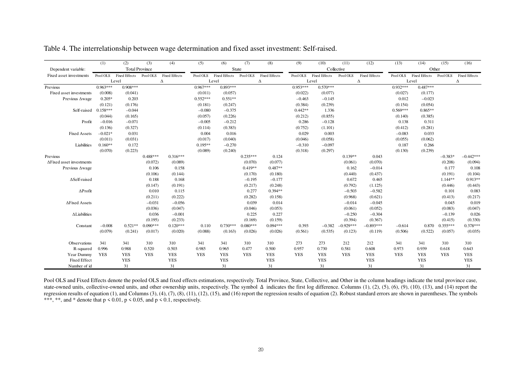|                                  | (1)        | (2)                    | (3)        | (4)                  | (5)        | (6)                  | (7)        | (8)                  | (9)        | (10)                 | (11)        | (12)                 | (13)       | (14)                 | (15)       | (16)                 |
|----------------------------------|------------|------------------------|------------|----------------------|------------|----------------------|------------|----------------------|------------|----------------------|-------------|----------------------|------------|----------------------|------------|----------------------|
| Dependent variable:              |            | <b>Total Province</b>  |            |                      |            | <b>State</b>         |            |                      |            | Collective           |             |                      |            | Other                |            |                      |
| Fixed asset investments          | Pool OLS   | Fixed Effects Pool OLS |            | <b>Fixed Effects</b> | Pool OLS   | <b>Fixed Effects</b> | Pool OLS   | <b>Fixed Effects</b> | Pool OLS   | <b>Fixed Effects</b> | Pool OLS    | <b>Fixed Effects</b> | Pool OLS   | <b>Fixed Effects</b> | Pool OLS   | <b>Fixed Effects</b> |
|                                  |            | Level                  |            | Δ                    |            | Level                |            | Δ                    |            | Level                | Δ           |                      |            | Level                |            | Δ                    |
| Previous                         | $0.963***$ | $0.908***$             |            |                      | $0.967***$ | $0.893***$           |            |                      | $0.953***$ | $0.570***$           |             |                      | $0.932***$ | $0.487***$           |            |                      |
| Fixed asset investments          | (0.008)    | (0.041)                |            |                      | (0.011)    | (0.057)              |            |                      | (0.022)    | (0.077)              |             |                      | (0.027)    | (0.177)              |            |                      |
| Previous Awage                   | $0.205*$   | 0.203                  |            |                      | $0.552***$ | $0.551**$            |            |                      | $-0.463$   | $-0.145$             |             |                      | 0.012      | $-0.023$             |            |                      |
|                                  | (0.121)    | (0.176)                |            |                      | (0.181)    | (0.247)              |            |                      | (0.384)    | (0.239)              |             |                      | (0.154)    | (0.054)              |            |                      |
| Self-raised                      | $0.158***$ | $-0.044$               |            |                      | $-0.080$   | $-0.375$             |            |                      | $0.442**$  | 1.336                |             |                      | $0.569***$ | $0.865**$            |            |                      |
|                                  | (0.044)    | (0.165)                |            |                      | (0.057)    | (0.226)              |            |                      | (0.212)    | (0.855)              |             |                      | (0.140)    | (0.385)              |            |                      |
| Profit                           | $-0.016$   | $-0.071$               |            |                      | $-0.005$   | $-0.212$             |            |                      | 0.286      | $-0.128$             |             |                      | 0.138      | 0.311                |            |                      |
|                                  | (0.136)    | (0.327)                |            |                      | (0.114)    | (0.383)              |            |                      | (0.752)    | (1.101)              |             |                      | (0.412)    | (0.281)              |            |                      |
| <b>Fixed Assets</b>              | $-0.021*$  | 0.031                  |            |                      | 0.004      | 0.016                |            |                      | 0.029      | 0.003                |             |                      | $-0.083$   | 0.033                |            |                      |
|                                  | (0.011)    | (0.031)                |            |                      | (0.017)    | (0.040)              |            |                      | (0.046)    | (0.058)              |             |                      | (0.055)    | (0.062)              |            |                      |
| Liabilities                      | $0.160**$  | 0.172                  |            |                      | $0.195**$  | $-0.270$             |            |                      | $-0.310$   | $-0.097$             |             |                      | 0.187      | 0.266                |            |                      |
|                                  | (0.070)    | (0.223)                |            |                      | (0.089)    | (0.240)              |            |                      | (0.318)    | (0.297)              |             |                      | (0.130)    | (0.239)              |            |                      |
| Previous                         |            |                        | $0.488***$ | $0.316***$           |            |                      | $0.235***$ | 0.124                |            |                      | $0.139**$   | 0.043                |            |                      | $-0.383*$  | $-0.442***$          |
| $\Delta$ Fixed asset investments |            |                        | (0.072)    | (0.089)              |            |                      | (0.070)    | (0.077)              |            |                      | (0.061)     | (0.070)              |            |                      | (0.208)    | (0.094)              |
| Previous Awage                   |            |                        | 0.106      | 0.158                |            |                      | $0.419**$  | $0.487**$            |            |                      | 0.162       | $-0.014$             |            |                      | 0.177      | 0.108                |
|                                  |            |                        | (0.106)    | (0.144)              |            |                      | (0.170)    | (0.180)              |            |                      | (0.440)     | (0.437)              |            |                      | (0.191)    | (0.104)              |
| $\Delta$ Self-raised             |            |                        | 0.188      | 0.168                |            |                      | $-0.195$   | $-0.177$             |            |                      | 0.672       | 0.465                |            |                      | $1.144**$  | $0.913**$            |
|                                  |            |                        | (0.147)    | (0.191)              |            |                      | (0.217)    | (0.248)              |            |                      | (0.792)     | (1.125)              |            |                      | (0.446)    | (0.443)              |
| $\Delta$ Profit                  |            |                        | 0.010      | 0.115                |            |                      | 0.277      | $0.394**$            |            |                      | $-0.503$    | $-0.582$             |            |                      | 0.101      | 0.083                |
|                                  |            |                        | (0.211)    | (0.222)              |            |                      | (0.282)    | (0.158)              |            |                      | (0.968)     | (0.621)              |            |                      | (0.413)    | (0.217)              |
| ∆Fixed Assets                    |            |                        | $-0.031$   | $-0.056$             |            |                      | 0.039      | 0.014                |            |                      | $-0.014$    | $-0.045$             |            |                      | 0.045      | 0.019                |
|                                  |            |                        | (0.036)    | (0.047)              |            |                      | (0.046)    | (0.053)              |            |                      | (0.061)     | (0.052)              |            |                      | (0.083)    | (0.047)              |
| $\Delta$ Liabilities             |            |                        | 0.036      | $-0.001$             |            |                      | 0.225      | 0.227                |            |                      | $-0.250$    | $-0.304$             |            |                      | $-0.139$   | 0.026                |
|                                  |            |                        | (0.195)    | (0.233)              |            |                      | (0.169)    | (0.159)              |            |                      | (0.394)     | (0.367)              |            |                      | (0.415)    | (0.330)              |
| Constant                         | $-0.008$   | $0.521**$              | $0.090***$ | $0.120***$           | 0.110      | $0.730***$           | $0.080***$ | $0.094***$           | 0.393      | $-0.382$             | $-0.929***$ | $-0.893***$          | $-0.614$   | 0.870                | $0.355***$ | $0.378***$           |
|                                  | (0.079)    | (0.241)                | (0.017)    | (0.020)              | (0.088)    | (0.163)              | (0.026)    | (0.026)              | (0.561)    | (0.535)              | (0.123)     | (0.119)              | (0.506)    | (0.522)              | (0.057)    | (0.035)              |
| Observations                     | 341        | 341                    | 310        | 310                  | 341        | 341                  | 310        | 310                  | 273        | 273                  | 212         | 212                  | 341        | 341                  | 310        | 310                  |
| R-squared                        | 0.996      | 0.988                  | 0.520      | 0.503                | 0.985      | 0.965                | 0.477      | 0.500                | 0.957      | 0.730                | 0.581       | 0.608                | 0.973      | 0.939                | 0.618      | 0.643                |
| Year Dummy                       | <b>YES</b> | <b>YES</b>             | <b>YES</b> | <b>YES</b>           | <b>YES</b> | <b>YES</b>           | <b>YES</b> | <b>YES</b>           | <b>YES</b> | <b>YES</b>           | <b>YES</b>  | <b>YES</b>           | <b>YES</b> | <b>YES</b>           | <b>YES</b> | <b>YES</b>           |
| <b>Fixed Effect</b>              |            | <b>YES</b>             |            | <b>YES</b>           |            | <b>YES</b>           |            | <b>YES</b>           |            | <b>YES</b>           |             | <b>YES</b>           |            | <b>YES</b>           |            | <b>YES</b>           |
| Number of id                     |            | 31                     |            | 31                   |            | 31                   |            | 31                   |            | 31                   |             | 31                   |            | 31                   |            | 31                   |

| Table 4. The interrelationship between wage determination and fixed asset investment: Self-raised. |  |  |  |
|----------------------------------------------------------------------------------------------------|--|--|--|
|----------------------------------------------------------------------------------------------------|--|--|--|

Pool OLS and Fixed Effects denote the pooled OLS and fixed effects estimations, respectively. Total Province, State, Collective, and Other in the column headings indicate the total province case, state-owned units, collective-owned units, and other ownership units, respectively. The symbol ∆ indicates the first log difference. Columns (1), (2), (5), (6), (9), (10), (13), and (14) report the regression results of equation (1), and Columns (3), (4), (7), (8), (11), (12), (15), and (16) report the regression results of equation (2). Robust standard errors are shown in parentheses. The symbols \*\*\*, \*\*, and \* denote that  $p \le 0.01$ ,  $p \le 0.05$ , and  $p \le 0.1$ , respectively.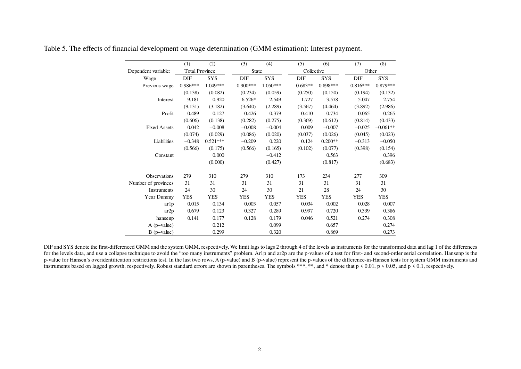|                     | (1)                   | (2)        | (3)        | (4)        | (5)        | (6)        | (7)        | (8)        |
|---------------------|-----------------------|------------|------------|------------|------------|------------|------------|------------|
| Dependent variable: | <b>Total Province</b> |            | State      |            | Collective |            | Other      |            |
| Wage                | DIF                   | <b>SYS</b> | DIF        | <b>SYS</b> | DIF        | <b>SYS</b> | DIF        | <b>SYS</b> |
| Previous wage       | $0.986***$            | 1.049***   | $0.900***$ | $1.050***$ | $0.683**$  | $0.898***$ | $0.816***$ | $0.879***$ |
|                     | (0.138)               | (0.082)    | (0.234)    | (0.059)    | (0.250)    | (0.150)    | (0.194)    | (0.132)    |
| Interest            | 9.181                 | $-0.920$   | $6.526*$   | 2.549      | $-1.727$   | $-3.578$   | 5.047      | 2.754      |
|                     | (9.131)               | (3.182)    | (3.640)    | (2.289)    | (3.567)    | (4.464)    | (3.892)    | (2.986)    |
| Profit              | 0.489                 | $-0.127$   | 0.426      | 0.379      | 0.410      | $-0.734$   | 0.065      | 0.265      |
|                     | (0.606)               | (0.138)    | (0.282)    | (0.275)    | (0.369)    | (0.612)    | (0.814)    | (0.433)    |
| <b>Fixed Assets</b> | 0.042                 | $-0.008$   | $-0.008$   | $-0.004$   | 0.009      | $-0.007$   | $-0.025$   | $-0.061**$ |
|                     | (0.074)               | (0.029)    | (0.086)    | (0.020)    | (0.037)    | (0.026)    | (0.045)    | (0.023)    |
| Liabilities         | $-0.348$              | $0.521***$ | $-0.209$   | 0.220      | 0.124      | $0.200**$  | $-0.313$   | $-0.050$   |
|                     | (0.566)               | (0.175)    | (0.566)    | (0.165)    | (0.102)    | (0.077)    | (0.398)    | (0.154)    |
| Constant            |                       | 0.000      |            | $-0.412$   |            | 0.563      |            | 0.396      |
|                     |                       | (0.000)    |            | (0.427)    |            | (0.817)    |            | (0.683)    |
| Observations        | 279                   | 310        | 279        | 310        | 173        | 234        | 277        | 309        |
| Number of provinces | 31                    | 31         | 31         | 31         | 31         | 31         | 31         | 31         |
| Instruments         | 24                    | 30         | 24         | 30         | 21         | 28         | 24         | 30         |
| Year Dummy          | <b>YES</b>            | <b>YES</b> | <b>YES</b> | <b>YES</b> | <b>YES</b> | <b>YES</b> | YES        | <b>YES</b> |
| ar1p                | 0.015                 | 0.134      | 0.003      | 0.057      | 0.034      | 0.002      | 0.028      | 0.007      |
| ar2p                | 0.679                 | 0.123      | 0.327      | 0.289      | 0.997      | 0.720      | 0.339      | 0.386      |
| hansenp             | 0.141                 | 0.177      | 0.128      | 0.179      | 0.046      | 0.521      | 0.274      | 0.308      |
| $A$ (p-value)       |                       | 0.212      |            | 0.099      |            | 0.657      |            | 0.274      |
| $B$ (p-value)       |                       | 0.299      |            | 0.320      |            | 0.869      |            | 0.273      |

Table 5. The effects of financial development on wage determination (GMM estimation): Interest payment.

DIF and SYS denote the first-differenced GMM and the system GMM, respectively. We limit lags to lags 2 through 4 of the levels as instruments for the transformed data and lag 1 of the differences for the levels data, and use a collapse technique to avoid the "too many instruments" problem. Ar1p and ar2p are the p-values of a test for first- and second-order serial correlation. Hansenp is the p-value for Hansen's overidentification restrictions test. In the last two rows, A (p-value) and B (p-value) represent the p-values of the difference-in-Hansen tests for system GMM instruments and instruments based on lagged growth, respectively. Robust standard errors are shown in parentheses. The symbols \*\*\*, \*\*, and \* denote that  $p < 0.01$ ,  $p < 0.05$ , and  $p < 0.1$ , respectively.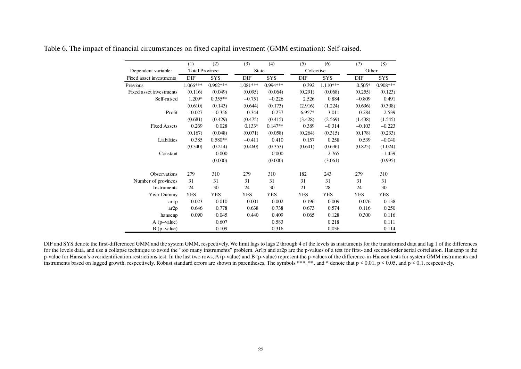|                         | (1)                   | (2)        | (3)        | (4)        | (5)        | (6)        | (7)        | (8)        |
|-------------------------|-----------------------|------------|------------|------------|------------|------------|------------|------------|
| Dependent variable:     | <b>Total Province</b> |            | State      |            | Collective |            | Other      |            |
| Fixed asset investments | <b>DIF</b>            | <b>SYS</b> | DIF        | <b>SYS</b> | DIF        | <b>SYS</b> | DIF        | <b>SYS</b> |
| Previous                | $1.066***$            | $0.962***$ | $1.081***$ | $0.994***$ | 0.392      | $1.110***$ | $0.505*$   | $0.908***$ |
| Fixed asset investments | (0.116)               | (0.049)    | (0.095)    | (0.064)    | (0.291)    | (0.068)    | (0.255)    | (0.123)    |
| Self-raised             | $1.209*$              | $0.355**$  | $-0.751$   | $-0.226$   | 2.526      | 0.884      | $-0.809$   | 0.491      |
|                         | (0.610)               | (0.143)    | (0.644)    | (0.173)    | (2.916)    | (1.224)    | (0.696)    | (0.308)    |
| Profit                  | $-0.027$              | $-0.356$   | 0.344      | 0.237      | $6.957*$   | 3.011      | 0.284      | 2.539      |
|                         | (0.681)               | (0.429)    | (0.475)    | (0.415)    | (3.428)    | (2.569)    | (1.438)    | (1.545)    |
| <b>Fixed Assets</b>     | 0.269                 | 0.028      | $0.133*$   | $0.147**$  | 0.389      | $-0.314$   | $-0.103$   | $-0.223$   |
|                         | (0.167)               | (0.048)    | (0.071)    | (0.058)    | (0.264)    | (0.315)    | (0.178)    | (0.233)    |
| Liabilities             | 0.385                 | $0.580**$  | $-0.411$   | 0.410      | 0.157      | 0.258      | 0.539      | $-0.040$   |
|                         | (0.340)               | (0.214)    | (0.460)    | (0.353)    | (0.641)    | (0.636)    | (0.825)    | (1.024)    |
| Constant                |                       | 0.000      |            | 0.000      |            | $-2.765$   |            | $-1.459$   |
|                         |                       | (0.000)    |            | (0.000)    |            | (3.061)    |            | (0.995)    |
| <b>Observations</b>     | 279                   | 310        | 279        | 310        | 182        | 243        | 279        | 310        |
| Number of provinces     | 31                    | 31         | 31         | 31         | 31         | 31         | 31         | 31         |
| Instruments             | 24                    | 30         | 24         | 30         | 21         | 28         | 24         | 30         |
| Year Dummy              | <b>YES</b>            | <b>YES</b> | <b>YES</b> | <b>YES</b> | <b>YES</b> | <b>YES</b> | <b>YES</b> | <b>YES</b> |
| ar1p                    | 0.023                 | 0.010      | 0.001      | 0.002      | 0.196      | 0.009      | 0.076      | 0.138      |
| ar2p                    | 0.646                 | 0.778      | 0.638      | 0.738      | 0.673      | 0.574      | 0.116      | 0.250      |
| hansenp                 | 0.090                 | 0.045      | 0.440      | 0.409      | 0.065      | 0.128      | 0.300      | 0.116      |
| $A$ (p-value)           |                       | 0.607      |            | 0.583      |            | 0.218      |            | 0.111      |
| $B$ (p-value)           |                       | 0.109      |            | 0.316      |            | 0.036      |            | 0.114      |

Table 6. The impact of financial circumstances on fixed capital investment (GMM estimation): Self-raised.

DIF and SYS denote the first-differenced GMM and the system GMM, respectively. We limit lags to lags 2 through 4 of the levels as instruments for the transformed data and lag 1 of the differences for the levels data, and use a collapse technique to avoid the "too many instruments" problem. Ar1p and ar2p are the p-values of a test for first- and second-order serial correlation. Hansenp is the p-value for Hansen's overidentification restrictions test. In the last two rows, A (p-value) and B (p-value) represent the p-values of the difference-in-Hansen tests for system GMM instruments and instruments based on lagged growth, respectively. Robust standard errors are shown in parentheses. The symbols \*\*\*, \*\*, and \* denote that p < 0.01, p < 0.05, and p < 0.1, respectively.